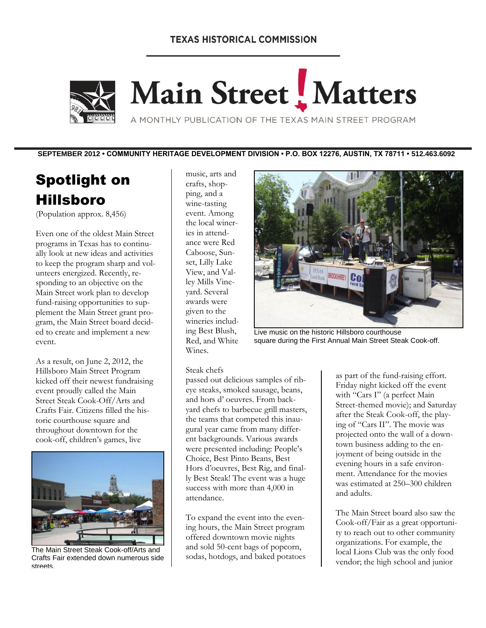### **TEXAS HISTORICAL COMMISSION**



# Main Street Matters

A MONTHLY PUBLICATION OF THE TEXAS MAIN STREET PROGRAM

**SEPTEMBER 2012 • COMMUNITY HERITAGE DEVELOPMENT DIVISION • P.O. BOX 12276, AUSTIN, TX 78711 • 512.463.6092**

# Spotlight on Hillsboro

(Population approx. 8,456)

Even one of the oldest Main Street programs in Texas has to continually look at new ideas and activities to keep the program sharp and volunteers energized. Recently, responding to an objective on the Main Street work plan to develop fund-raising opportunities to supplement the Main Street grant program, the Main Street board decided to create and implement a new event.

As a result, on June 2, 2012, the Hillsboro Main Street Program kicked off their newest fundraising event proudly called the Main Street Steak Cook-Off/Arts and Crafts Fair. Citizens filled the historic courthouse square and throughout downtown for the cook-off, children's games, live



The Main Street Steak Cook-off/Arts and Crafts Fair extended down numerous side streets.

music, arts and crafts, shopping, and a wine-tasting event. Among the local wineries in attendance were Red Caboose, Sunset, Lilly Lake View, and Valley Mills Vineyard. Several awards were given to the wineries including Best Blush, Red, and White Wines.



Live music on the historic Hillsboro courthouse square during the First Annual Main Street Steak Cook-off.

#### Steak chefs

passed out delicious samples of ribeye steaks, smoked sausage, beans, and hors d' oeuvres. From backyard chefs to barbecue grill masters, the teams that competed this inaugural year came from many different backgrounds. Various awards were presented including: People's Choice, Best Pinto Beans, Best Hors d'oeuvres, Best Rig, and finally Best Steak! The event was a huge success with more than 4,000 in attendance.

To expand the event into the evening hours, the Main Street program offered downtown movie nights and sold 50-cent bags of popcorn, sodas, hotdogs, and baked potatoes as part of the fund-raising effort. Friday night kicked off the event with "Cars I" (a perfect Main Street-themed movie); and Saturday after the Steak Cook-off, the playing of "Cars II". The movie was projected onto the wall of a downtown business adding to the enjoyment of being outside in the evening hours in a safe environment. Attendance for the movies was estimated at 250–300 children and adults.

The Main Street board also saw the Cook-off/Fair as a great opportunity to reach out to other community organizations. For example, the local Lions Club was the only food vendor; the high school and junior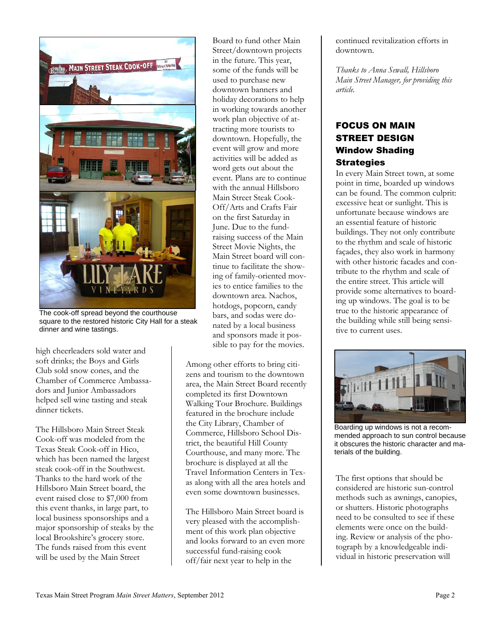

The cook-off spread beyond the courthouse square to the restored historic City Hall for a steak dinner and wine tastings.

high cheerleaders sold water and soft drinks; the Boys and Girls Club sold snow cones, and the Chamber of Commerce Ambassadors and Junior Ambassadors helped sell wine tasting and steak dinner tickets.

The Hillsboro Main Street Steak Cook-off was modeled from the Texas Steak Cook-off in Hico, which has been named the largest steak cook-off in the Southwest. Thanks to the hard work of the Hillsboro Main Street board, the event raised close to \$7,000 from this event thanks, in large part, to local business sponsorships and a major sponsorship of steaks by the local Brookshire's grocery store. The funds raised from this event will be used by the Main Street

Board to fund other Main Street/downtown projects in the future. This year, some of the funds will be used to purchase new downtown banners and holiday decorations to help in working towards another work plan objective of attracting more tourists to downtown. Hopefully, the event will grow and more activities will be added as word gets out about the event. Plans are to continue with the annual Hillsboro Main Street Steak Cook-Off/Arts and Crafts Fair on the first Saturday in June. Due to the fundraising success of the Main Street Movie Nights, the Main Street board will continue to facilitate the showing of family-oriented movies to entice families to the downtown area. Nachos, hotdogs, popcorn, candy bars, and sodas were donated by a local business and sponsors made it possible to pay for the movies.

Among other efforts to bring citizens and tourism to the downtown area, the Main Street Board recently completed its first Downtown Walking Tour Brochure. Buildings featured in the brochure include the City Library, Chamber of Commerce, Hillsboro School District, the beautiful Hill County Courthouse, and many more. The brochure is displayed at all the Travel Information Centers in Texas along with all the area hotels and even some downtown businesses.

The Hillsboro Main Street board is very pleased with the accomplishment of this work plan objective and looks forward to an even more successful fund-raising cook off/fair next year to help in the

continued revitalization efforts in downtown.

*Thanks to Anna Sewall, Hillsboro Main Street Manager, for providing this article.*

# FOCUS ON MAIN STREET DESIGN Window Shading **Strategies**

In every Main Street town, at some point in time, boarded up windows can be found. The common culprit: excessive heat or sunlight. This is unfortunate because windows are an essential feature of historic buildings. They not only contribute to the rhythm and scale of historic façades, they also work in harmony with other historic facades and contribute to the rhythm and scale of the entire street. This article will provide some alternatives to boarding up windows. The goal is to be true to the historic appearance of the building while still being sensitive to current uses.



Boarding up windows is not a recommended approach to sun control because it obscures the historic character and materials of the building.

The first options that should be considered are historic sun-control methods such as awnings, canopies, or shutters. Historic photographs need to be consulted to see if these elements were once on the building. Review or analysis of the photograph by a knowledgeable individual in historic preservation will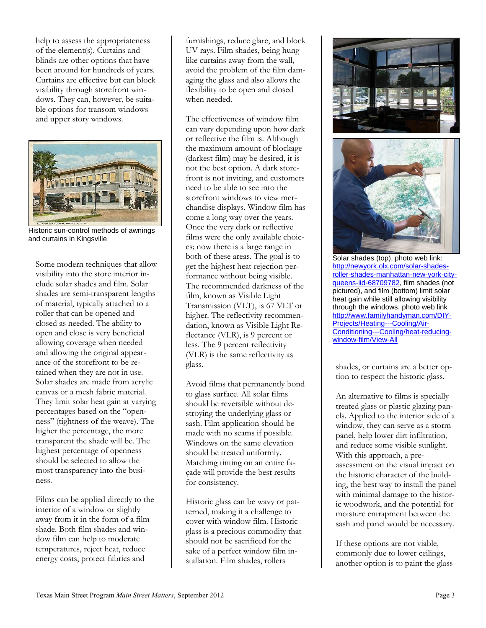help to assess the appropriateness of the element(s). Curtains and blinds are other options that have been around for hundreds of years. Curtains are effective but can block visibility through storefront windows. They can, however, be suitable options for transom windows and upper story windows.



Historic sun-control methods of awnings and curtains in Kingsville

Some modern techniques that allow visibility into the store interior include solar shades and film. Solar shades are semi-transparent lengths of material, typically attached to a roller that can be opened and closed as needed. The ability to open and close is very beneficial allowing coverage when needed and allowing the original appearance of the storefront to be retained when they are not in use. Solar shades are made from acrylic canvas or a mesh fabric material. They limit solar heat gain at varying percentages based on the "openness" (tightness of the weave). The higher the percentage, the more transparent the shade will be. The highest percentage of openness should be selected to allow the most transparency into the business.

Films can be applied directly to the interior of a window or slightly away from it in the form of a film shade. Both film shades and window film can help to moderate temperatures, reject heat, reduce energy costs, protect fabrics and

furnishings, reduce glare, and block UV rays. Film shades, being hung like curtains away from the wall, avoid the problem of the film damaging the glass and also allows the flexibility to be open and closed when needed.

The effectiveness of window film can vary depending upon how dark or reflective the film is. Although the maximum amount of blockage (darkest film) may be desired, it is not the best option. A dark storefront is not inviting, and customers need to be able to see into the storefront windows to view merchandise displays. Window film has come a long way over the years. Once the very dark or reflective films were the only available choices; now there is a large range in both of these areas. The goal is to get the highest heat rejection performance without being visible. The recommended darkness of the film, known as Visible Light Transmission (VLT), is 67 VLT or higher. The reflectivity recommendation, known as Visible Light Reflectance (VLR), is 9 percent or less. The 9 percent reflectivity (VLR) is the same reflectivity as glass.

Avoid films that permanently bond to glass surface. All solar films should be reversible without destroying the underlying glass or sash. Film application should be made with no seams if possible. Windows on the same elevation should be treated uniformly. Matching tinting on an entire façade will provide the best results for consistency.

Historic glass can be wavy or patterned, making it a challenge to cover with window film. Historic glass is a precious commodity that should not be sacrificed for the sake of a perfect window film installation. Film shades, rollers





Solar shades (top), photo web link: [http://newyork.olx.com/solar-shades](http://newyork.olx.com/solar-shades-roller-shades-manhattan-new-york-city-queens-iid-68709782)[roller-shades-manhattan-new-york-city](http://newyork.olx.com/solar-shades-roller-shades-manhattan-new-york-city-queens-iid-68709782)[queens-iid-68709782,](http://newyork.olx.com/solar-shades-roller-shades-manhattan-new-york-city-queens-iid-68709782) film shades (not pictured), and film (bottom) limit solar heat gain while still allowing visibility through the windows, photo web link [http://www.familyhandyman.com/DIY-](http://www.familyhandyman.com/DIY-Projects/Heating---Cooling/Air-Conditioning---Cooling/heat-reducing-window-film/View-All)[Projects/Heating---Cooling/Air-](http://www.familyhandyman.com/DIY-Projects/Heating---Cooling/Air-Conditioning---Cooling/heat-reducing-window-film/View-All)[Conditioning---Cooling/heat-reducing](http://www.familyhandyman.com/DIY-Projects/Heating---Cooling/Air-Conditioning---Cooling/heat-reducing-window-film/View-All)[window-film/View-All](http://www.familyhandyman.com/DIY-Projects/Heating---Cooling/Air-Conditioning---Cooling/heat-reducing-window-film/View-All) 

shades, or curtains are a better option to respect the historic glass.

An alternative to films is specially treated glass or plastic glazing panels. Applied to the interior side of a window, they can serve as a storm panel, help lower dirt infiltration, and reduce some visible sunlight. With this approach, a preassessment on the visual impact on the historic character of the building, the best way to install the panel with minimal damage to the historic woodwork, and the potential for moisture entrapment between the sash and panel would be necessary.

If these options are not viable, commonly due to lower ceilings, another option is to paint the glass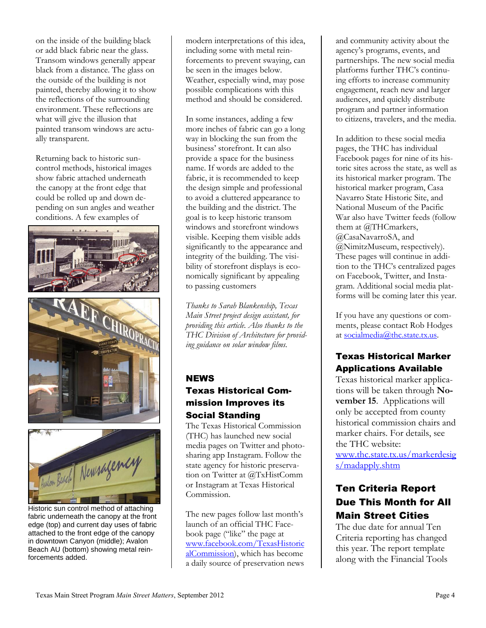on the inside of the building black or add black fabric near the glass. Transom windows generally appear black from a distance. The glass on the outside of the building is not painted, thereby allowing it to show the reflections of the surrounding environment. These reflections are what will give the illusion that painted transom windows are actually transparent.

Returning back to historic suncontrol methods, historical images show fabric attached underneath the canopy at the front edge that could be rolled up and down depending on sun angles and weather conditions. A few examples of







Historic sun control method of attaching fabric underneath the canopy at the front edge (top) and current day uses of fabric attached to the front edge of the canopy in downtown Canyon (middle); Avalon Beach AU (bottom) showing metal reinforcements added.

modern interpretations of this idea, including some with metal reinforcements to prevent swaying, can be seen in the images below. Weather, especially wind, may pose possible complications with this method and should be considered.

In some instances, adding a few more inches of fabric can go a long way in blocking the sun from the business' storefront. It can also provide a space for the business name. If words are added to the fabric, it is recommended to keep the design simple and professional to avoid a cluttered appearance to the building and the district. The goal is to keep historic transom windows and storefront windows visible. Keeping them visible adds significantly to the appearance and integrity of the building. The visibility of storefront displays is economically significant by appealing to passing customers

*Thanks to Sarah Blankenship, Texas Main Street project design assistant, for providing this article. Also thanks to the THC Division of Architecture for providing guidance on solar window films.*

# **NEWS** Texas Historical Commission Improves its Social Standing

The Texas Historical Commission (THC) has launched new social media pages on Twitter and photosharing app Instagram. Follow the state agency for historic preservation on Twitter at @TxHistComm or Instagram at Texas Historical Commission.

The new pages follow last month's launch of an official THC Facebook page ("like" the page at [www.facebook.com/TexasHistoric](http://www.facebook.com/TexasHistoricalCommission) [alCommission\)](http://www.facebook.com/TexasHistoricalCommission), which has become a daily source of preservation news

and community activity about the agency's programs, events, and partnerships. The new social media platforms further THC's continuing efforts to increase community engagement, reach new and larger audiences, and quickly distribute program and partner information to citizens, travelers, and the media.

In addition to these social media pages, the THC has individual Facebook pages for nine of its historic sites across the state, as well as its historical marker program. The historical marker program, Casa Navarro State Historic Site, and National Museum of the Pacific War also have Twitter feeds (follow them at @THCmarkers, @CasaNavarroSA, and @NimitzMuseum, respectively). These pages will continue in addition to the THC's centralized pages on Facebook, Twitter, and Instagram. Additional social media platforms will be coming later this year.

If you have any questions or comments, please contact Rob Hodges at [socialmedia@thc.state.tx.us.](mailto:socialmedia@thc.state.tx.us)

# Texas Historical Marker Applications Available

Texas historical marker applications will be taken through **November 15**. Applications will only be accepted from county historical commission chairs and marker chairs. For details, see the THC website: [www.thc.state.tx.us/markerdesig](http://www.thc.state.tx.us/markerdesigs/madapply.shtm) [s/madapply.shtm](http://www.thc.state.tx.us/markerdesigs/madapply.shtm)

# Ten Criteria Report Due This Month for All Main Street Cities

The due date for annual Ten Criteria reporting has changed this year. The report template along with the Financial Tools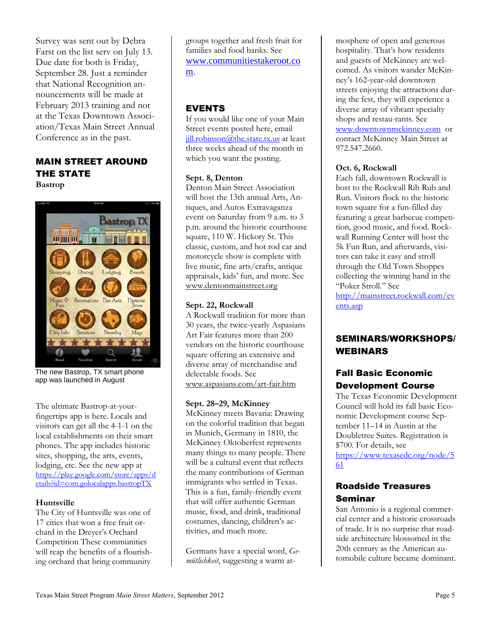Survey was sent out by Debra Farst on the list serv on July 13. Due date for both is Friday, September 28. Just a reminder that National Recognition announcements will be made at February 2013 training and not at the Texas Downtown Association/Texas Main Street Annual Conference as in the past.

#### MAIN STREET AROUND THE STATE **Bastrop**



The new Bastrop, TX smart phone app was launched in August

The ultimate Bastrop-at-yourfingertips app is here. Locals and visitors can get all the 4-1-1 on the local establishments on their smart phones. The app includes historic sites, shopping, the arts, events, lodging, etc. See the new app at [https://play.google.com/store/apps/d](https://play.google.com/store/apps/details?id=com.golocalapps.bastropTX) [etails?id=com.golocalapps.bastropTX](https://play.google.com/store/apps/details?id=com.golocalapps.bastropTX)

#### **Huntsville**

The City of Huntsville was one of 17 cities that won a free fruit orchard in the Dreyer's Orchard Competition These communities will reap the benefits of a flourishing orchard that bring community

groups together and fresh fruit for families and food banks. See [www.communitiestakeroot.co](http://www.communitiestakeroot.com/) [m.](http://www.communitiestakeroot.com/)

# EVENTS

If you would like one of your Main Street events posted here, email [jill.robinson@thc.state.tx.us](mailto:jill.robinson@thc.state.tx.us) at least three weeks ahead of the month in which you want the posting.

#### **Sept. 8, Denton**

Denton Main Street Association will host the 13th annual Arts, Antiques, and Autos Extravaganza event on Saturday from 9 a.m. to 3 p.m. around the historic courthouse square, 110 W. Hickory St. This classic, custom, and hot rod car and motorcycle show is complete with live music, fine arts/crafts, antique appraisals, kids' fun, and more. See [www.dentonmainstreet.org](http://www.dentonmainstreet.org/)

#### **Sept. 22, Rockwall**

A Rockwall tradition for more than 30 years, the twice-yearly Aspasians Art Fair features more than 200 vendors on the historic courthouse square offering an extensive and diverse array of merchandise and delectable foods. See [www.aspasians.com/art-fair.htm](http://www.aspasians.com/art-fair.htm)

#### **Sept. 28–29, McKinney**

McKinney meets Bavaria: Drawing on the colorful tradition that began in Munich, Germany in 1810, the McKinney Oktoberfest represents many things to many people. There will be a cultural event that reflects the many contributions of German immigrants who settled in Texas. This is a fun, family-friendly event that will offer authentic German music, food, and drink, traditional costumes, dancing, children's activities, and much more.

Germans have a special word, *Gemütlichkeit*, suggesting a warm at-

mosphere of open and generous hospitality. That's how residents and guests of McKinney are welcomed. As visitors wander McKinney's 162-year-old downtown streets enjoying the attractions during the fest, they will experience a diverse array of vibrant specialty shops and restau-rants. See [www.downtownmckinney.com](http://www.downtownmckinney.com/) or contact McKinney Main Street at 972.547.2660.

#### **Oct. 6, Rockwall**

Each fall, downtown Rockwall is host to the Rockwall Rib Rub and Run. Visitors flock to the historic town square for a fun-filled day featuring a great barbecue competition, good music, and food. Rockwall Running Center will host the 5k Fun Run, and afterwards, visitors can take it easy and stroll through the Old Town Shoppes collecting the winning hand in the "Poker Stroll." See

[http://mainstreet.rockwall.com/ev](http://mainstreet.rockwall.com/events.asp) [ents.asp](http://mainstreet.rockwall.com/events.asp)

# SEMINARS/WORKSHOPS/ WEBINARS

# Fall Basic Economic Development Course

The Texas Economic Development Council will hold its fall basic Economic Development course September 11–14 in Austin at the Doubletree Suites. Registration is \$700. For details, see [https://www.texasedc.org/node/5](https://www.texasedc.org/node/561) [61](https://www.texasedc.org/node/561)

# Roadside Treasures Seminar

San Antonio is a regional commercial center and a historic crossroads of trade. It is no surprise that roadside architecture blossomed in the 20th century as the American automobile culture became dominant.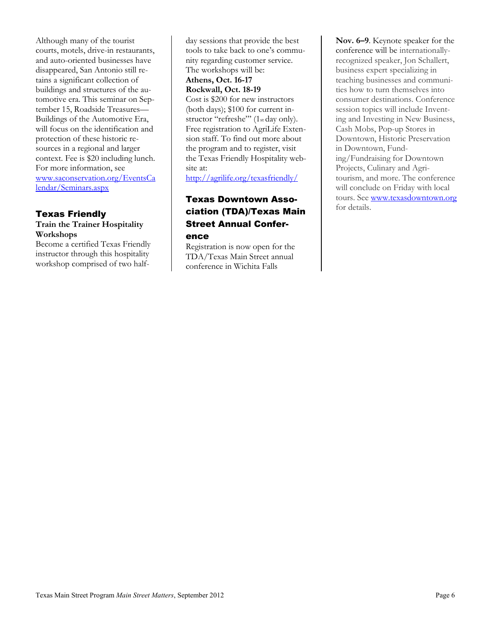Although many of the tourist courts, motels, drive-in restaurants, and auto-oriented businesses have disappeared, San Antonio still retains a significant collection of buildings and structures of the automotive era. This seminar on September 15, Roadside Treasures— Buildings of the Automotive Era, will focus on the identification and protection of these historic resources in a regional and larger context. Fee is \$20 including lunch. For more information, see [www.saconservation.org/EventsCa](http://www.saconservation.org/EventsCalendar/Seminars.aspx) [lendar/Seminars.aspx](http://www.saconservation.org/EventsCalendar/Seminars.aspx)

#### Texas Friendly **Train the Trainer Hospitality Workshops**

Become a certified Texas Friendly instructor through this hospitality workshop comprised of two halfday sessions that provide the best tools to take back to one's community regarding customer service. The workshops will be: **Athens, Oct. 16-17 Rockwall, Oct. 18-19**  Cost is \$200 for new instructors (both days); \$100 for current instructor "refreshe"' (1st day only). Free registration to AgriLife Extension staff. To find out more about the program and to register, visit the Texas Friendly Hospitality website at:

<http://agrilife.org/texasfriendly/>

# Texas Downtown Association (TDA)/Texas Main Street Annual Confer-

ence

Registration is now open for the TDA/Texas Main Street annual conference in Wichita Falls

**Nov. 6–9**. Keynote speaker for the conference will be internationallyrecognized speaker, Jon Schallert, business expert specializing in teaching businesses and communities how to turn themselves into consumer destinations. Conference session topics will include Inventing and Investing in New Business, Cash Mobs, Pop-up Stores in Downtown, Historic Preservation in Downtown, Funding/Fundraising for Downtown Projects, Culinary and Agritourism, and more. The conference will conclude on Friday with local tours. See [www.texasdowntown.org](http://www.texasdowntown.org/) for details.